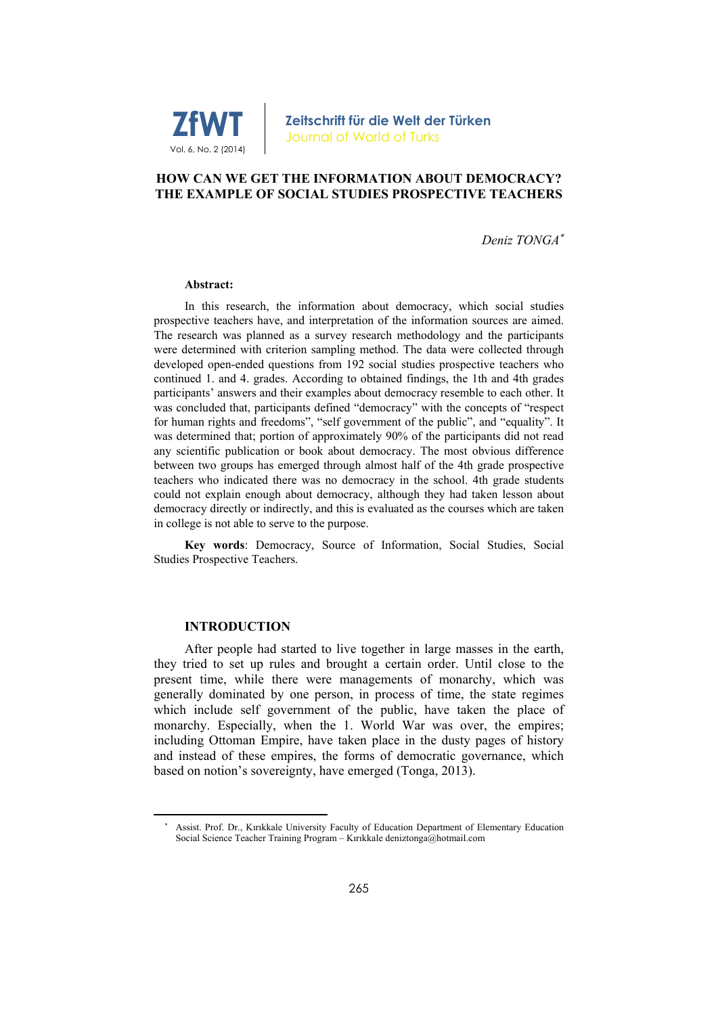

### **HOW CAN WE GET THE INFORMATION ABOUT DEMOCRACY? THE EXAMPLE OF SOCIAL STUDIES PROSPECTIVE TEACHERS**

*Deniz TONGA*

#### **Abstract:**

In this research, the information about democracy, which social studies prospective teachers have, and interpretation of the information sources are aimed. The research was planned as a survey research methodology and the participants were determined with criterion sampling method. The data were collected through developed open-ended questions from 192 social studies prospective teachers who continued 1. and 4. grades. According to obtained findings, the 1th and 4th grades participants' answers and their examples about democracy resemble to each other. It was concluded that, participants defined "democracy" with the concepts of "respect for human rights and freedoms", "self government of the public", and "equality". It was determined that; portion of approximately 90% of the participants did not read any scientific publication or book about democracy. The most obvious difference between two groups has emerged through almost half of the 4th grade prospective teachers who indicated there was no democracy in the school. 4th grade students could not explain enough about democracy, although they had taken lesson about democracy directly or indirectly, and this is evaluated as the courses which are taken in college is not able to serve to the purpose.

**Key words**: Democracy, Source of Information, Social Studies, Social Studies Prospective Teachers.

#### **INTRODUCTION**

After people had started to live together in large masses in the earth, they tried to set up rules and brought a certain order. Until close to the present time, while there were managements of monarchy, which was generally dominated by one person, in process of time, the state regimes which include self government of the public, have taken the place of monarchy. Especially, when the 1. World War was over, the empires; including Ottoman Empire, have taken place in the dusty pages of history and instead of these empires, the forms of democratic governance, which based on notion's sovereignty, have emerged (Tonga, 2013).

<sup>\*</sup>  Assist. Prof. Dr., Kırıkkale University Faculty of Education Department of Elementary Education Social Science Teacher Training Program – Kırıkkale deniztonga@hotmail.com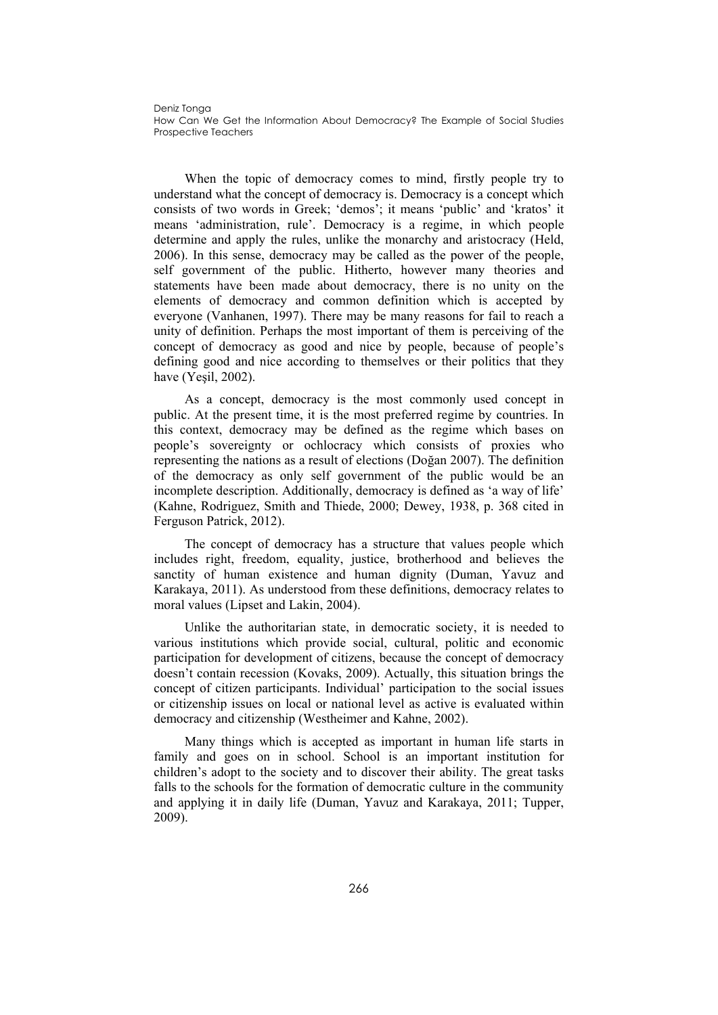When the topic of democracy comes to mind, firstly people try to understand what the concept of democracy is. Democracy is a concept which consists of two words in Greek; 'demos'; it means 'public' and 'kratos' it means 'administration, rule'. Democracy is a regime, in which people determine and apply the rules, unlike the monarchy and aristocracy (Held, 2006). In this sense, democracy may be called as the power of the people, self government of the public. Hitherto, however many theories and statements have been made about democracy, there is no unity on the elements of democracy and common definition which is accepted by everyone (Vanhanen, 1997). There may be many reasons for fail to reach a unity of definition. Perhaps the most important of them is perceiving of the concept of democracy as good and nice by people, because of people's defining good and nice according to themselves or their politics that they have (Yeşil, 2002).

As a concept, democracy is the most commonly used concept in public. At the present time, it is the most preferred regime by countries. In this context, democracy may be defined as the regime which bases on people's sovereignty or ochlocracy which consists of proxies who representing the nations as a result of elections (Doğan 2007). The definition of the democracy as only self government of the public would be an incomplete description. Additionally, democracy is defined as 'a way of life' (Kahne, Rodriguez, Smith and Thiede, 2000; Dewey, 1938, p. 368 cited in Ferguson Patrick, 2012).

The concept of democracy has a structure that values people which includes right, freedom, equality, justice, brotherhood and believes the sanctity of human existence and human dignity (Duman, Yavuz and Karakaya, 2011). As understood from these definitions, democracy relates to moral values (Lipset and Lakin, 2004).

Unlike the authoritarian state, in democratic society, it is needed to various institutions which provide social, cultural, politic and economic participation for development of citizens, because the concept of democracy doesn't contain recession (Kovaks, 2009). Actually, this situation brings the concept of citizen participants. Individual' participation to the social issues or citizenship issues on local or national level as active is evaluated within democracy and citizenship (Westheimer and Kahne, 2002).

Many things which is accepted as important in human life starts in family and goes on in school. School is an important institution for children's adopt to the society and to discover their ability. The great tasks falls to the schools for the formation of democratic culture in the community and applying it in daily life (Duman, Yavuz and Karakaya, 2011; Tupper, 2009).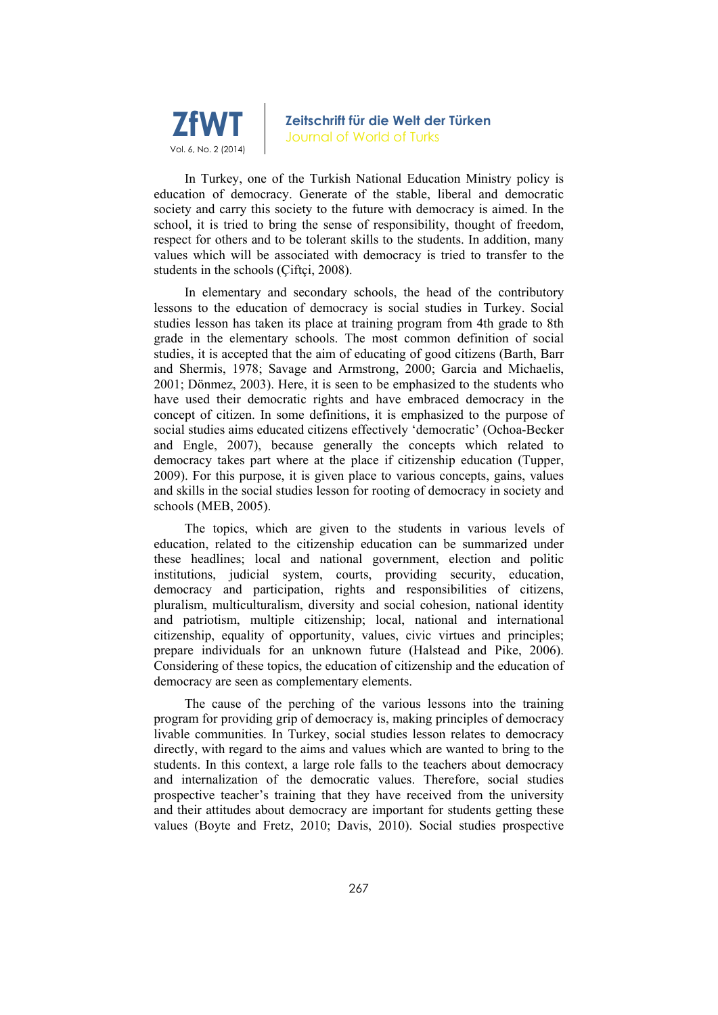

In Turkey, one of the Turkish National Education Ministry policy is education of democracy. Generate of the stable, liberal and democratic society and carry this society to the future with democracy is aimed. In the school, it is tried to bring the sense of responsibility, thought of freedom, respect for others and to be tolerant skills to the students. In addition, many values which will be associated with democracy is tried to transfer to the students in the schools (Ciftci, 2008).

In elementary and secondary schools, the head of the contributory lessons to the education of democracy is social studies in Turkey. Social studies lesson has taken its place at training program from 4th grade to 8th grade in the elementary schools. The most common definition of social studies, it is accepted that the aim of educating of good citizens (Barth, Barr and Shermis, 1978; Savage and Armstrong, 2000; Garcia and Michaelis, 2001; Dönmez, 2003). Here, it is seen to be emphasized to the students who have used their democratic rights and have embraced democracy in the concept of citizen. In some definitions, it is emphasized to the purpose of social studies aims educated citizens effectively 'democratic' (Ochoa-Becker and Engle, 2007), because generally the concepts which related to democracy takes part where at the place if citizenship education (Tupper, 2009). For this purpose, it is given place to various concepts, gains, values and skills in the social studies lesson for rooting of democracy in society and schools (MEB, 2005).

The topics, which are given to the students in various levels of education, related to the citizenship education can be summarized under these headlines; local and national government, election and politic institutions, judicial system, courts, providing security, education, democracy and participation, rights and responsibilities of citizens, pluralism, multiculturalism, diversity and social cohesion, national identity and patriotism, multiple citizenship; local, national and international citizenship, equality of opportunity, values, civic virtues and principles; prepare individuals for an unknown future (Halstead and Pike, 2006). Considering of these topics, the education of citizenship and the education of democracy are seen as complementary elements.

The cause of the perching of the various lessons into the training program for providing grip of democracy is, making principles of democracy livable communities. In Turkey, social studies lesson relates to democracy directly, with regard to the aims and values which are wanted to bring to the students. In this context, a large role falls to the teachers about democracy and internalization of the democratic values. Therefore, social studies prospective teacher's training that they have received from the university and their attitudes about democracy are important for students getting these values (Boyte and Fretz, 2010; Davis, 2010). Social studies prospective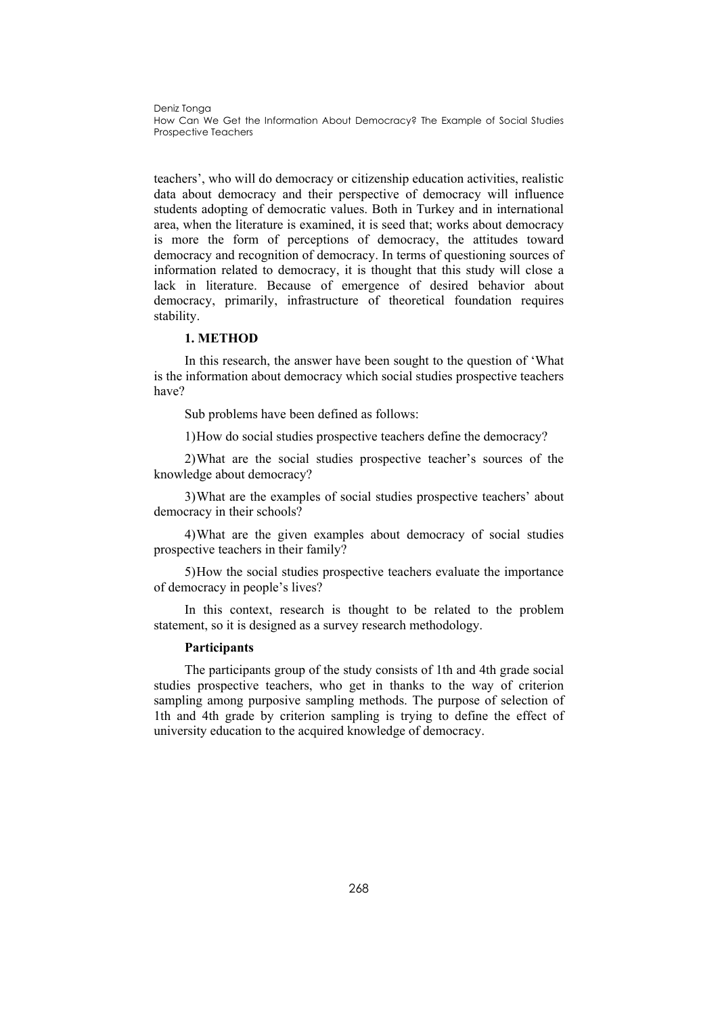teachers', who will do democracy or citizenship education activities, realistic data about democracy and their perspective of democracy will influence students adopting of democratic values. Both in Turkey and in international area, when the literature is examined, it is seed that; works about democracy is more the form of perceptions of democracy, the attitudes toward democracy and recognition of democracy. In terms of questioning sources of information related to democracy, it is thought that this study will close a lack in literature. Because of emergence of desired behavior about democracy, primarily, infrastructure of theoretical foundation requires stability.

### **1. METHOD**

In this research, the answer have been sought to the question of 'What is the information about democracy which social studies prospective teachers have?

Sub problems have been defined as follows:

1)How do social studies prospective teachers define the democracy?

2)What are the social studies prospective teacher's sources of the knowledge about democracy?

3)What are the examples of social studies prospective teachers' about democracy in their schools?

4)What are the given examples about democracy of social studies prospective teachers in their family?

5)How the social studies prospective teachers evaluate the importance of democracy in people's lives?

In this context, research is thought to be related to the problem statement, so it is designed as a survey research methodology.

#### **Participants**

The participants group of the study consists of 1th and 4th grade social studies prospective teachers, who get in thanks to the way of criterion sampling among purposive sampling methods. The purpose of selection of 1th and 4th grade by criterion sampling is trying to define the effect of university education to the acquired knowledge of democracy.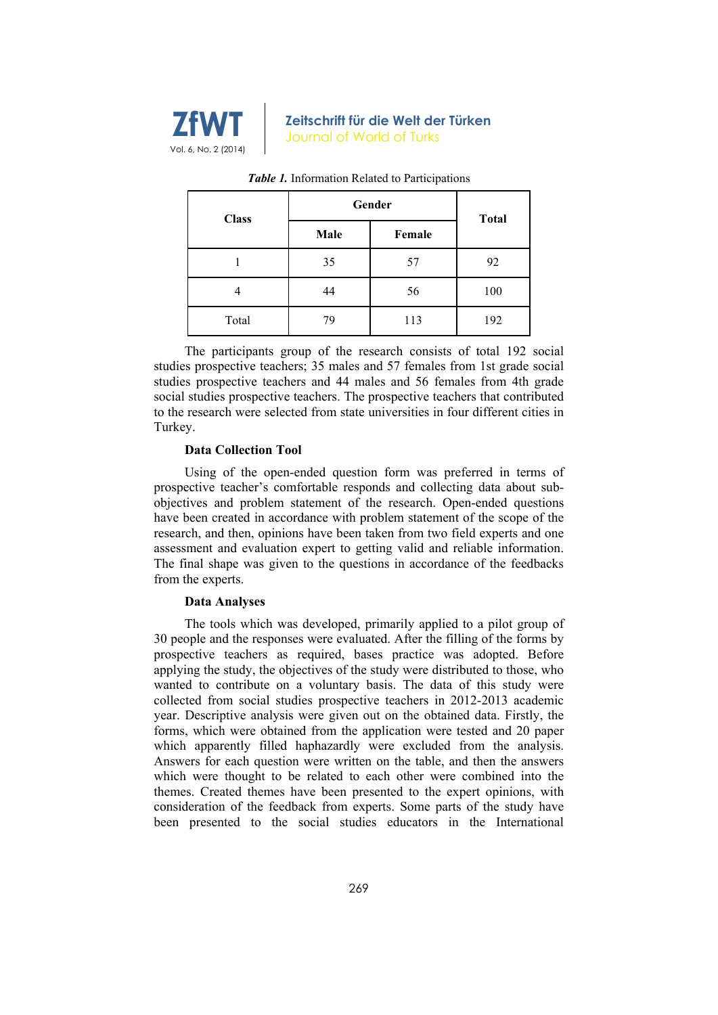

| <b>Class</b> |      | Gender |              |
|--------------|------|--------|--------------|
|              | Male | Female | <b>Total</b> |
|              | 35   | 57     | 92           |
|              | 44   | 56     | 100          |
| Total        | 79   | 113    | 192          |

#### *Table 1.* Information Related to Participations

The participants group of the research consists of total 192 social studies prospective teachers; 35 males and 57 females from 1st grade social studies prospective teachers and 44 males and 56 females from 4th grade social studies prospective teachers. The prospective teachers that contributed to the research were selected from state universities in four different cities in Turkey.

#### **Data Collection Tool**

Using of the open-ended question form was preferred in terms of prospective teacher's comfortable responds and collecting data about subobjectives and problem statement of the research. Open-ended questions have been created in accordance with problem statement of the scope of the research, and then, opinions have been taken from two field experts and one assessment and evaluation expert to getting valid and reliable information. The final shape was given to the questions in accordance of the feedbacks from the experts.

#### **Data Analyses**

The tools which was developed, primarily applied to a pilot group of 30 people and the responses were evaluated. After the filling of the forms by prospective teachers as required, bases practice was adopted. Before applying the study, the objectives of the study were distributed to those, who wanted to contribute on a voluntary basis. The data of this study were collected from social studies prospective teachers in 2012-2013 academic year. Descriptive analysis were given out on the obtained data. Firstly, the forms, which were obtained from the application were tested and 20 paper which apparently filled haphazardly were excluded from the analysis. Answers for each question were written on the table, and then the answers which were thought to be related to each other were combined into the themes. Created themes have been presented to the expert opinions, with consideration of the feedback from experts. Some parts of the study have been presented to the social studies educators in the International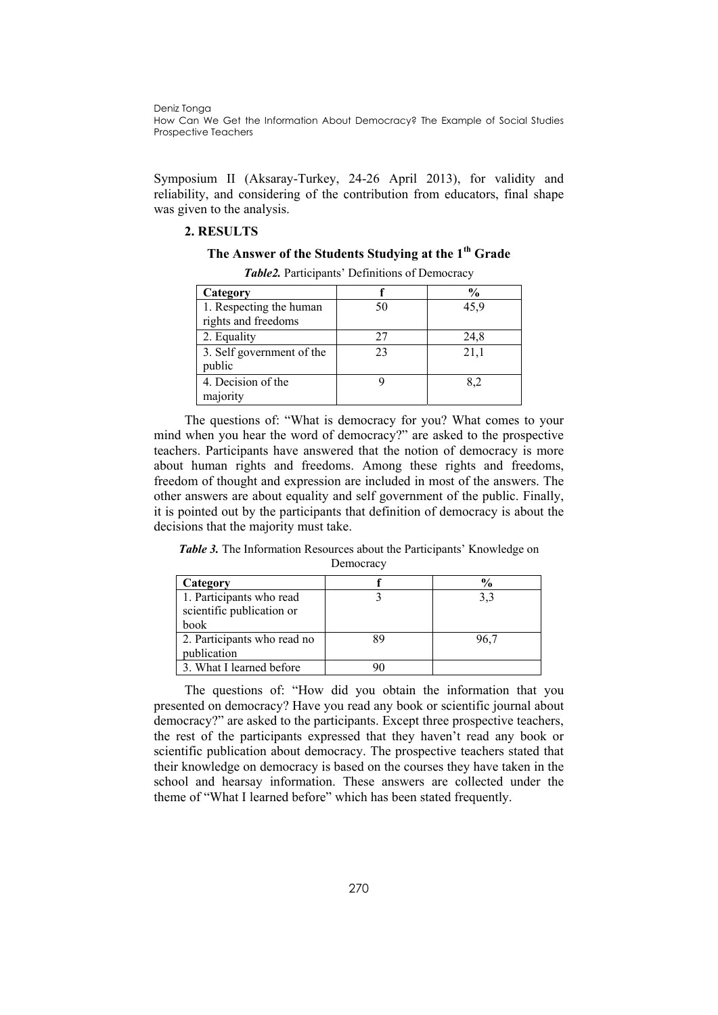Symposium II (Aksaray-Turkey, 24-26 April 2013), for validity and reliability, and considering of the contribution from educators, final shape was given to the analysis.

## **2. RESULTS**

### **The Answer of the Students Studying at the 1th Grade**

| Category                                       |    | $\frac{0}{0}$ |
|------------------------------------------------|----|---------------|
| 1. Respecting the human<br>rights and freedoms | 50 | 45.9          |
| 2. Equality                                    | 27 | 24,8          |
| 3. Self government of the<br>public            | 23 | 21,1          |
| 4. Decision of the<br>majority                 |    | 82            |

*Table2.* Participants' Definitions of Democracy

The questions of: "What is democracy for you? What comes to your mind when you hear the word of democracy?" are asked to the prospective teachers. Participants have answered that the notion of democracy is more about human rights and freedoms. Among these rights and freedoms, freedom of thought and expression are included in most of the answers. The other answers are about equality and self government of the public. Finally, it is pointed out by the participants that definition of democracy is about the decisions that the majority must take.

*Table 3.* The Information Resources about the Participants' Knowledge on Democracy

| Category                    |      |
|-----------------------------|------|
| 1. Participants who read    | 3.3  |
| scientific publication or   |      |
| <b>book</b>                 |      |
| 2. Participants who read no | 96.7 |
| publication                 |      |
| 3. What I learned before    |      |

The questions of: "How did you obtain the information that you presented on democracy? Have you read any book or scientific journal about democracy?" are asked to the participants. Except three prospective teachers, the rest of the participants expressed that they haven't read any book or scientific publication about democracy. The prospective teachers stated that their knowledge on democracy is based on the courses they have taken in the school and hearsay information. These answers are collected under the theme of "What I learned before" which has been stated frequently.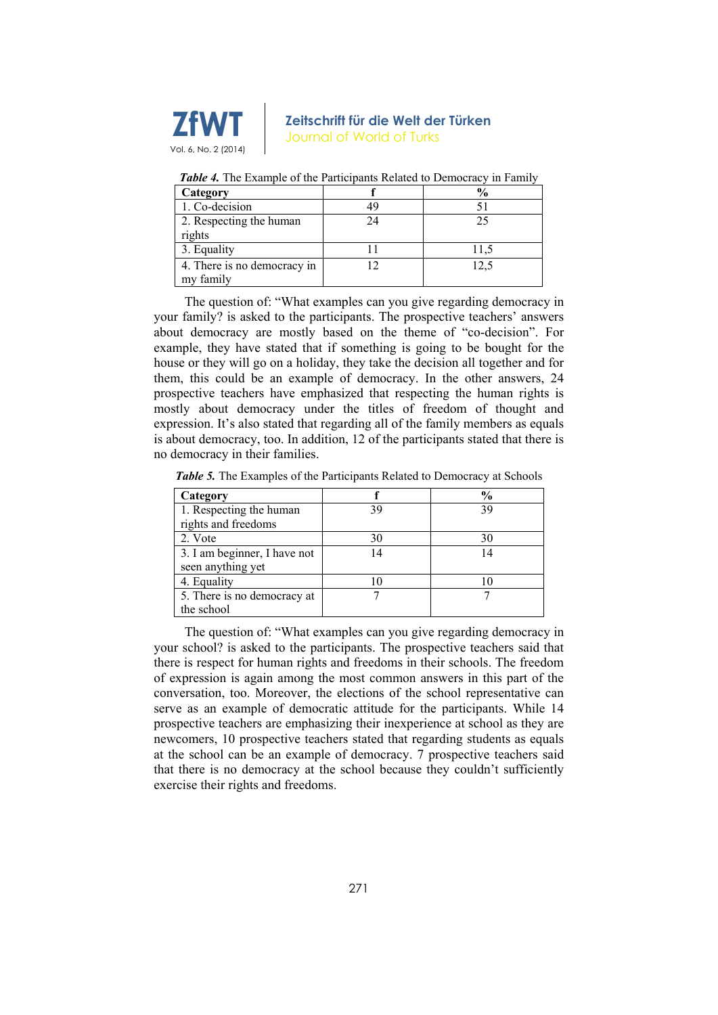

| Category                    |    | $\frac{0}{0}$ |
|-----------------------------|----|---------------|
| 1. Co-decision              |    |               |
| 2. Respecting the human     | 24 | 25            |
| rights                      |    |               |
| 3. Equality                 |    | 11.5          |
| 4. There is no democracy in |    | 12,5          |
| my family                   |    |               |

*Table 4.* The Example of the Participants Related to Democracy in Family

The question of: "What examples can you give regarding democracy in your family? is asked to the participants. The prospective teachers' answers about democracy are mostly based on the theme of "co-decision". For example, they have stated that if something is going to be bought for the house or they will go on a holiday, they take the decision all together and for them, this could be an example of democracy. In the other answers, 24 prospective teachers have emphasized that respecting the human rights is mostly about democracy under the titles of freedom of thought and expression. It's also stated that regarding all of the family members as equals is about democracy, too. In addition, 12 of the participants stated that there is no democracy in their families.

*Table 5.* The Examples of the Participants Related to Democracy at Schools

| Category                     |    | $\frac{0}{0}$ |
|------------------------------|----|---------------|
| 1. Respecting the human      |    | 39            |
| rights and freedoms          |    |               |
| 2. Vote                      | 30 | 30            |
| 3. I am beginner, I have not |    | 14            |
| seen anything yet            |    |               |
| 4. Equality                  |    |               |
| 5. There is no democracy at  |    |               |
| the school                   |    |               |

The question of: "What examples can you give regarding democracy in your school? is asked to the participants. The prospective teachers said that there is respect for human rights and freedoms in their schools. The freedom of expression is again among the most common answers in this part of the conversation, too. Moreover, the elections of the school representative can serve as an example of democratic attitude for the participants. While 14 prospective teachers are emphasizing their inexperience at school as they are newcomers, 10 prospective teachers stated that regarding students as equals at the school can be an example of democracy. 7 prospective teachers said that there is no democracy at the school because they couldn't sufficiently exercise their rights and freedoms.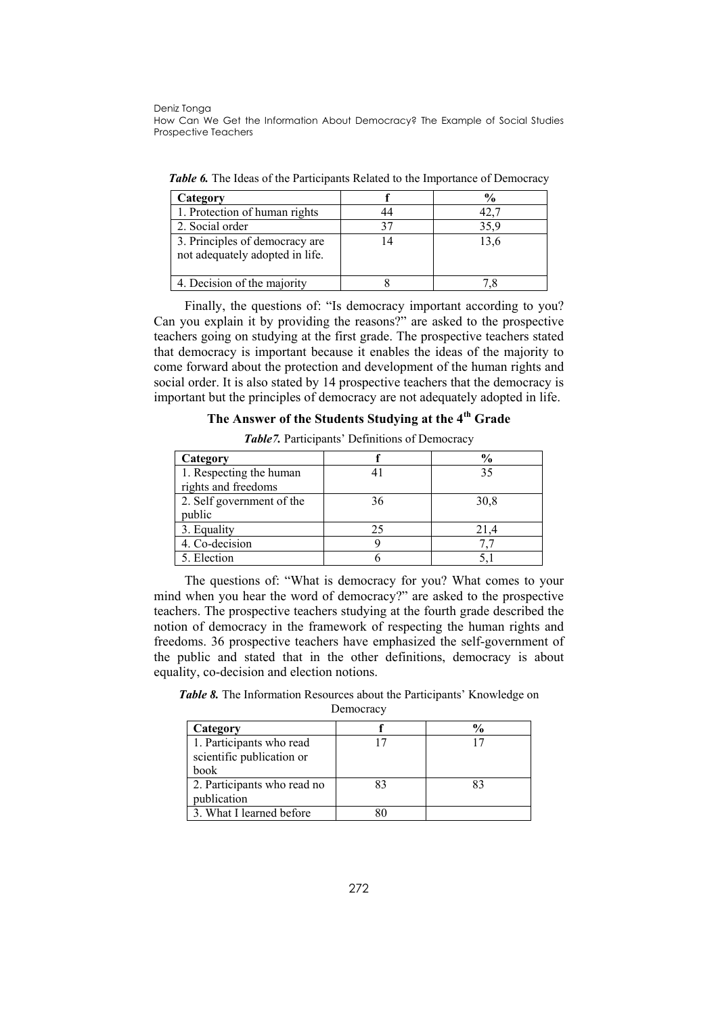| Category                                                          |      |
|-------------------------------------------------------------------|------|
| 1. Protection of human rights                                     |      |
| 2. Social order                                                   | 35.9 |
| 3. Principles of democracy are<br>not adequately adopted in life. | 13,6 |
| 4. Decision of the majority                                       |      |

*Table 6.* The Ideas of the Participants Related to the Importance of Democracy

Finally, the questions of: "Is democracy important according to you? Can you explain it by providing the reasons?" are asked to the prospective teachers going on studying at the first grade. The prospective teachers stated that democracy is important because it enables the ideas of the majority to come forward about the protection and development of the human rights and social order. It is also stated by 14 prospective teachers that the democracy is important but the principles of democracy are not adequately adopted in life.

## **The Answer of the Students Studying at the 4th Grade**

*Table7.* Participants' Definitions of Democracy

| Category                  |    | $\frac{6}{9}$ |
|---------------------------|----|---------------|
| 1. Respecting the human   |    | 35            |
| rights and freedoms       |    |               |
| 2. Self government of the | 36 | 30,8          |
| public                    |    |               |
| 3. Equality               | 25 | 21.4          |
| 4. Co-decision            |    |               |
| 5. Election               |    |               |

The questions of: "What is democracy for you? What comes to your mind when you hear the word of democracy?" are asked to the prospective teachers. The prospective teachers studying at the fourth grade described the notion of democracy in the framework of respecting the human rights and freedoms. 36 prospective teachers have emphasized the self-government of the public and stated that in the other definitions, democracy is about equality, co-decision and election notions.

*Table 8.* The Information Resources about the Participants' Knowledge on

Democracy

| Category                    |    |    |
|-----------------------------|----|----|
| 1. Participants who read    |    |    |
| scientific publication or   |    |    |
| book                        |    |    |
| 2. Participants who read no | 83 | 83 |
| publication                 |    |    |
| 3. What I learned before    |    |    |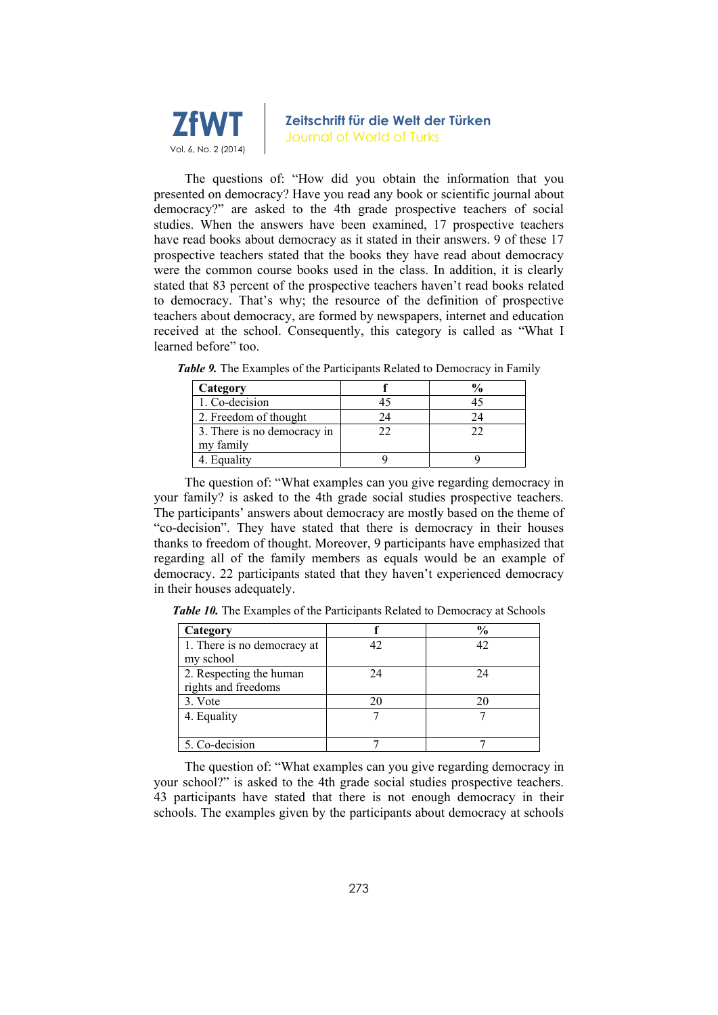

The questions of: "How did you obtain the information that you presented on democracy? Have you read any book or scientific journal about democracy?" are asked to the 4th grade prospective teachers of social studies. When the answers have been examined, 17 prospective teachers have read books about democracy as it stated in their answers. 9 of these 17 prospective teachers stated that the books they have read about democracy were the common course books used in the class. In addition, it is clearly stated that 83 percent of the prospective teachers haven't read books related to democracy. That's why; the resource of the definition of prospective teachers about democracy, are formed by newspapers, internet and education received at the school. Consequently, this category is called as "What I learned before" too.

| Category                    |    |
|-----------------------------|----|
| $1. Co-decision$            |    |
| 2. Freedom of thought       | 14 |
| 3. There is no democracy in | 22 |
| my family                   |    |
| 4. Equality                 |    |

*Table 9.* The Examples of the Participants Related to Democracy in Family

The question of: "What examples can you give regarding democracy in your family? is asked to the 4th grade social studies prospective teachers. The participants' answers about democracy are mostly based on the theme of "co-decision". They have stated that there is democracy in their houses thanks to freedom of thought. Moreover, 9 participants have emphasized that regarding all of the family members as equals would be an example of democracy. 22 participants stated that they haven't experienced democracy in their houses adequately.

*Table 10.* The Examples of the Participants Related to Democracy at Schools

| Category                    |    | $\frac{1}{2}$ |
|-----------------------------|----|---------------|
| 1. There is no democracy at | 42 |               |
| my school                   |    |               |
| 2. Respecting the human     | 24 | 24            |
| rights and freedoms         |    |               |
| 3. Vote                     | 20 |               |
| 4. Equality                 |    |               |
|                             |    |               |
| 5. Co-decision              |    |               |

The question of: "What examples can you give regarding democracy in your school?" is asked to the 4th grade social studies prospective teachers. 43 participants have stated that there is not enough democracy in their schools. The examples given by the participants about democracy at schools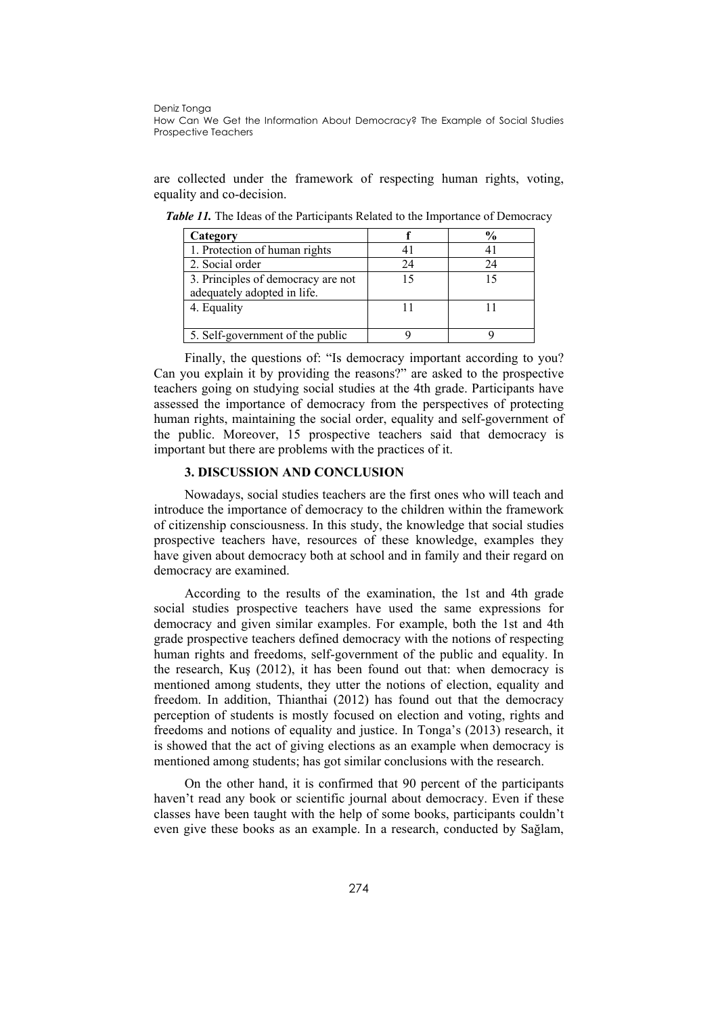are collected under the framework of respecting human rights, voting, equality and co-decision.

| Category                                                          |    | $\frac{1}{2}$ |
|-------------------------------------------------------------------|----|---------------|
| 1. Protection of human rights                                     |    |               |
| 2. Social order                                                   | 24 | 24            |
| 3. Principles of democracy are not<br>adequately adopted in life. |    |               |
| 4. Equality                                                       |    |               |
| 5. Self-government of the public                                  |    |               |

*Table 11.* The Ideas of the Participants Related to the Importance of Democracy

Finally, the questions of: "Is democracy important according to you? Can you explain it by providing the reasons?" are asked to the prospective teachers going on studying social studies at the 4th grade. Participants have assessed the importance of democracy from the perspectives of protecting human rights, maintaining the social order, equality and self-government of the public. Moreover, 15 prospective teachers said that democracy is important but there are problems with the practices of it.

### **3. DISCUSSION AND CONCLUSION**

Nowadays, social studies teachers are the first ones who will teach and introduce the importance of democracy to the children within the framework of citizenship consciousness. In this study, the knowledge that social studies prospective teachers have, resources of these knowledge, examples they have given about democracy both at school and in family and their regard on democracy are examined.

According to the results of the examination, the 1st and 4th grade social studies prospective teachers have used the same expressions for democracy and given similar examples. For example, both the 1st and 4th grade prospective teachers defined democracy with the notions of respecting human rights and freedoms, self-government of the public and equality. In the research, Kuş (2012), it has been found out that: when democracy is mentioned among students, they utter the notions of election, equality and freedom. In addition, Thianthai (2012) has found out that the democracy perception of students is mostly focused on election and voting, rights and freedoms and notions of equality and justice. In Tonga's (2013) research, it is showed that the act of giving elections as an example when democracy is mentioned among students; has got similar conclusions with the research.

On the other hand, it is confirmed that 90 percent of the participants haven't read any book or scientific journal about democracy. Even if these classes have been taught with the help of some books, participants couldn't even give these books as an example. In a research, conducted by Sağlam,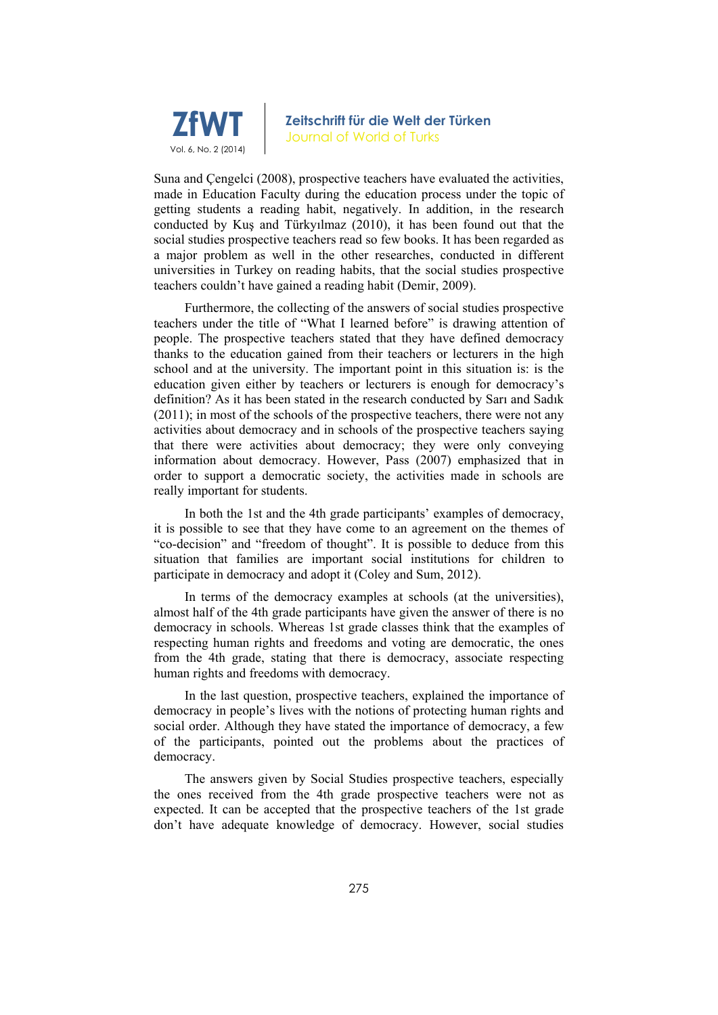

Suna and Çengelci (2008), prospective teachers have evaluated the activities, made in Education Faculty during the education process under the topic of getting students a reading habit, negatively. In addition, in the research conducted by Kuş and Türkyılmaz (2010), it has been found out that the social studies prospective teachers read so few books. It has been regarded as a major problem as well in the other researches, conducted in different universities in Turkey on reading habits, that the social studies prospective teachers couldn't have gained a reading habit (Demir, 2009).

Furthermore, the collecting of the answers of social studies prospective teachers under the title of "What I learned before" is drawing attention of people. The prospective teachers stated that they have defined democracy thanks to the education gained from their teachers or lecturers in the high school and at the university. The important point in this situation is: is the education given either by teachers or lecturers is enough for democracy's definition? As it has been stated in the research conducted by Sarı and Sadık (2011); in most of the schools of the prospective teachers, there were not any activities about democracy and in schools of the prospective teachers saying that there were activities about democracy; they were only conveying information about democracy. However, Pass (2007) emphasized that in order to support a democratic society, the activities made in schools are really important for students.

In both the 1st and the 4th grade participants' examples of democracy, it is possible to see that they have come to an agreement on the themes of "co-decision" and "freedom of thought". It is possible to deduce from this situation that families are important social institutions for children to participate in democracy and adopt it (Coley and Sum, 2012).

In terms of the democracy examples at schools (at the universities), almost half of the 4th grade participants have given the answer of there is no democracy in schools. Whereas 1st grade classes think that the examples of respecting human rights and freedoms and voting are democratic, the ones from the 4th grade, stating that there is democracy, associate respecting human rights and freedoms with democracy.

In the last question, prospective teachers, explained the importance of democracy in people's lives with the notions of protecting human rights and social order. Although they have stated the importance of democracy, a few of the participants, pointed out the problems about the practices of democracy.

The answers given by Social Studies prospective teachers, especially the ones received from the 4th grade prospective teachers were not as expected. It can be accepted that the prospective teachers of the 1st grade don't have adequate knowledge of democracy. However, social studies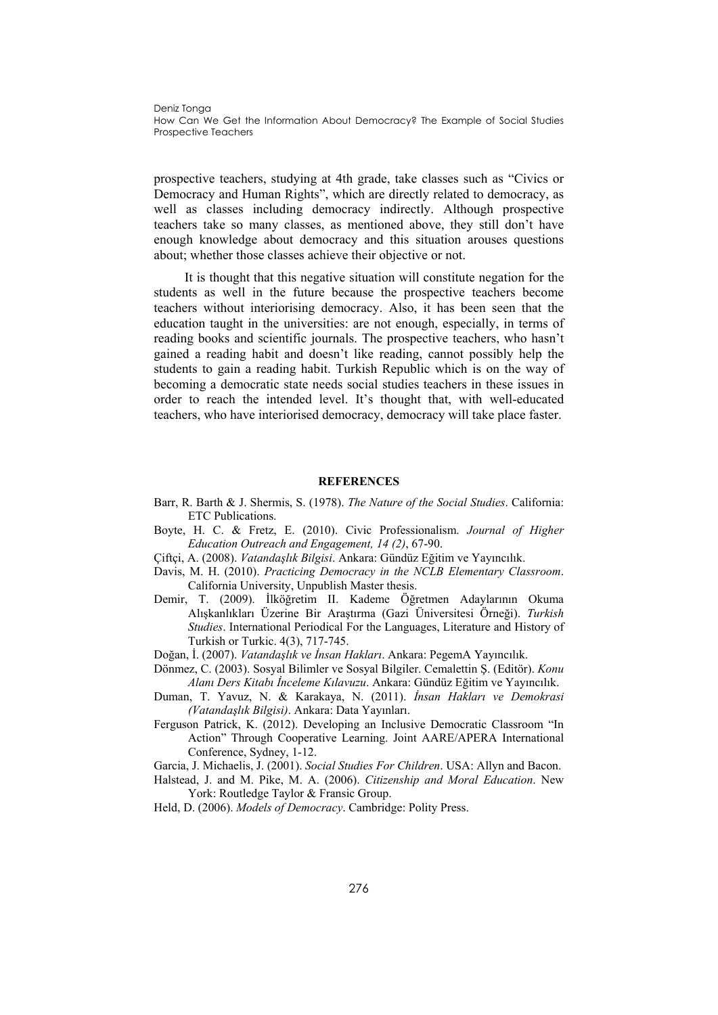prospective teachers, studying at 4th grade, take classes such as "Civics or Democracy and Human Rights", which are directly related to democracy, as well as classes including democracy indirectly. Although prospective teachers take so many classes, as mentioned above, they still don't have enough knowledge about democracy and this situation arouses questions about; whether those classes achieve their objective or not.

It is thought that this negative situation will constitute negation for the students as well in the future because the prospective teachers become teachers without interiorising democracy. Also, it has been seen that the education taught in the universities: are not enough, especially, in terms of reading books and scientific journals. The prospective teachers, who hasn't gained a reading habit and doesn't like reading, cannot possibly help the students to gain a reading habit. Turkish Republic which is on the way of becoming a democratic state needs social studies teachers in these issues in order to reach the intended level. It's thought that, with well-educated teachers, who have interiorised democracy, democracy will take place faster.

#### **REFERENCES**

- Barr, R. Barth & J. Shermis, S. (1978). *The Nature of the Social Studies*. California: ETC Publications.
- Boyte, H. C. & Fretz, E. (2010). Civic Professionalism. *Journal of Higher Education Outreach and Engagement, 14 (2)*, 67-90.
- Çiftçi, A. (2008). *Vatandaşlık Bilgisi*. Ankara: Gündüz Eğitim ve Yayıncılık.
- Davis, M. H. (2010). *Practicing Democracy in the NCLB Elementary Classroom*. California University, Unpublish Master thesis.
- Demir, T. (2009). İlköğretim II. Kademe Öğretmen Adaylarının Okuma Alışkanlıkları Üzerine Bir Araştırma (Gazi Üniversitesi Örneği). *Turkish Studies*. International Periodical For the Languages, Literature and History of Turkish or Turkic. 4(3), 717-745.
- Doğan, İ. (2007). *Vatandaşlık ve İnsan Hakları*. Ankara: PegemA Yayıncılık.
- Dönmez, C. (2003). Sosyal Bilimler ve Sosyal Bilgiler. Cemalettin Ş. (Editör). *Konu Alanı Ders Kitabı İnceleme Kılavuzu*. Ankara: Gündüz Eğitim ve Yayıncılık.
- Duman, T. Yavuz, N. & Karakaya, N. (2011). *İnsan Hakları ve Demokrasi (Vatandaşlık Bilgisi)*. Ankara: Data Yayınları.
- Ferguson Patrick, K. (2012). Developing an Inclusive Democratic Classroom "In Action" Through Cooperative Learning. Joint AARE/APERA International Conference, Sydney, 1-12.
- Garcia, J. Michaelis, J. (2001). *Social Studies For Children*. USA: Allyn and Bacon.
- Halstead, J. and M. Pike, M. A. (2006). *Citizenship and Moral Education*. New York: Routledge Taylor & Fransic Group.
- Held, D. (2006). *Models of Democracy*. Cambridge: Polity Press.